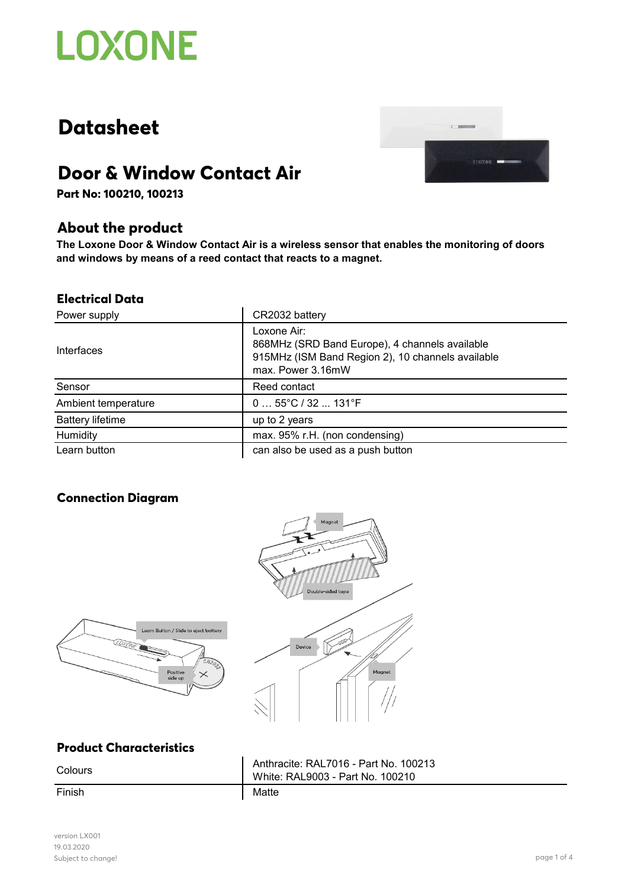

# **Datasheet**



## **Door & Window Contact Air**

**Part No: 100210, 100213**

### **About the product**

**The Loxone Door & Window Contact Air is a wireless sensor that enables the monitoring of doors and windows by means of a reed contact that reacts to a magnet.**

#### **Electrical Data**

| Power supply            | CR2032 battery                                                                                                                          |
|-------------------------|-----------------------------------------------------------------------------------------------------------------------------------------|
| Interfaces              | Loxone Air:<br>868MHz (SRD Band Europe), 4 channels available<br>915MHz (ISM Band Region 2), 10 channels available<br>max. Power 3.16mW |
| Sensor                  | Reed contact                                                                                                                            |
| Ambient temperature     | $055^{\circ}C/32131^{\circ}F$                                                                                                           |
| <b>Battery lifetime</b> | up to 2 years                                                                                                                           |
| Humidity                | max. 95% r.H. (non condensing)                                                                                                          |
| Learn button            | can also be used as a push button                                                                                                       |

### **Connection Diagram**





### **Product Characteristics**

Finish Matte

Colours **Anthracite: RAL7016 - Part No. 100213** White: RAL9003 - Part No. 100210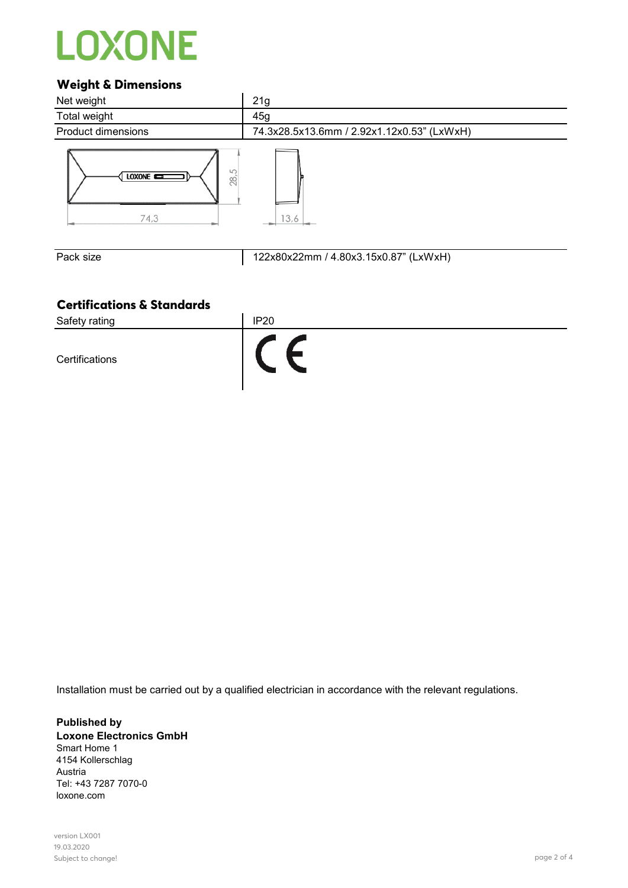# **LOXONE**

### **Weight & Dimensions**



Pack size 122x80x22mm / 4.80x3.15x0.87" (LxWxH)

### **Certifications & Standards**



Installation must be carried out by a qualified electrician in accordance with the relevant regulations.

**Published by Loxone Electronics GmbH** Smart Home 1 4154 Kollerschlag Austria Tel: +43 7287 7070-0 loxone.com

version LX001 19.03.2020 Subject to change! page 2 of 4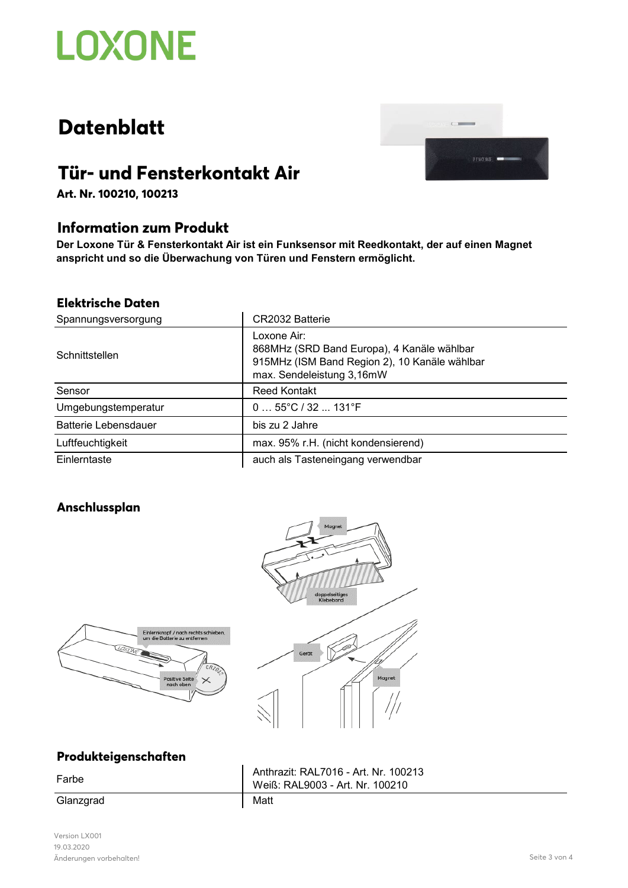

# **Datenblatt**



## **Tür- und Fensterkontakt Air**

**Art. Nr. 100210, 100213**

### **Information zum Produkt**

**Der Loxone Tür & Fensterkontakt Air ist ein Funksensor mit Reedkontakt, der auf einen Magnet anspricht und so die Überwachung von Türen und Fenstern ermöglicht.**

#### **Elektrische Daten**

| Spannungsversorgung         | CR2032 Batterie                                                                                                                         |
|-----------------------------|-----------------------------------------------------------------------------------------------------------------------------------------|
| Schnittstellen              | Loxone Air:<br>868MHz (SRD Band Europa), 4 Kanäle wählbar<br>915MHz (ISM Band Region 2), 10 Kanäle wählbar<br>max. Sendeleistung 3,16mW |
| Sensor                      | <b>Reed Kontakt</b>                                                                                                                     |
| Umgebungstemperatur         | $055^{\circ}C/32131^{\circ}F$                                                                                                           |
| <b>Batterie Lebensdauer</b> | bis zu 2 Jahre                                                                                                                          |
| Luftfeuchtigkeit            | max. 95% r.H. (nicht kondensierend)                                                                                                     |
| Einlerntaste                | auch als Tasteneingang verwendbar                                                                                                       |

### **Anschlussplan**





### **Produkteigenschaften**

Glanzgrad Matt

Farbe Anthrazit: RAL7016 - Art. Nr. 100213 Weiß: RAL9003 - Art. Nr. 100210